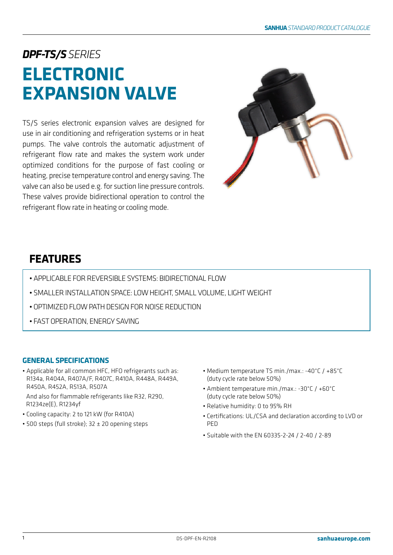# *DPF-TS/SSERIES* **ELECTRONIC EXPANSION VALVE**

TS/S series electronic expansion valves are designed for use in air conditioning and refrigeration systems or in heat pumps. The valve controls the automatic adjustment of refrigerant flow rate and makes the system work under optimized conditions for the purpose of fast cooling or heating, precise temperature control and energy saving. The valve can also be used e.g. for suction line pressure controls. These valves provide bidirectional operation to control the refrigerant flow rate in heating or cooling mode.



# **FEATURES**

- APPLICABLE FOR REVERSIBLE SYSTEMS: BIDIRECTIONAL FLOW
- SMALLER INSTALLATION SPACE: LOW HEIGHT, SMALL VOLUME, LIGHT WEIGHT
- OPTIMIZED FLOW PATH DESIGN FOR NOISE REDUCTION
- FAST OPERATION, ENERGY SAVING

### **GENERAL SPECIFICATIONS**

• Applicable for all common HFC, HFO refrigerants such as: R134a, R404A, R407A/F, R407C, R410A, R448A, R449A, R450A, R452A, R513A, R507A

And also for flammable refrigerants like R32, R290, R1234ze(E), R1234yf

- Cooling capacity: 2 to 121 kW (for R410A)
- 500 steps (full stroke); 32 ± 20 opening steps
- Medium temperature TS min./max.: -40°C / +85°C (duty cycle rate below 50%)
- Ambient temperature min./max.: -30°C / +60°C (duty cycle rate below 50%)
- Relative humidity: 0 to 95% RH
- Certifications: UL/CSA and declaration according to LVD or **PFD**
- Suitable with the EN 60335-2-24 / 2-40 / 2-89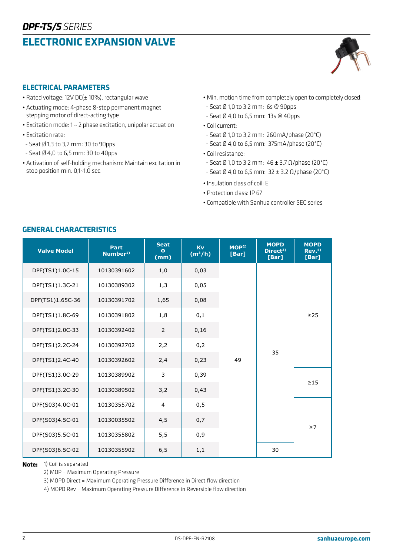# **ELECTRONIC EXPANSION VALVE**



### **ELECTRICAL PARAMETERS**

- Rated voltage: 12V DC(± 10%), rectangular wave
- Actuating mode: 4-phase 8-step permanent magnet stepping motor of direct-acting type
- Excitation mode: 1 ~ 2 phase excitation, unipolar actuation
- Excitation rate:
- Seat Ø 1,3 to 3,2 mm: 30 to 90pps
- Seat Ø 4,0 to 6,5 mm: 30 to 40pps
- Activation of self-holding mechanism: Maintain excitation in stop position min. 0,1~1,0 sec.
- Min. motion time from completely open to completely closed:
- Seat Ø 1,0 to 3,2 mm: 6s @ 90pps
- Seat Ø 4,0 to 6,5 mm: 13s @ 40pps
- Coil current:
- Seat Ø 1,0 to 3,2 mm: 260mA/phase (20°C)
- Seat Ø 4,0 to 6,5 mm: 375mA/phase (20°C)
- Coil resistance:
- Seat Ø 1,0 to 3,2 mm: 46 ± 3.7 Ω/phase (20°C)
- Seat Ø 4,0 to 6,5 mm: 32 ± 3.2 Ω/phase (20°C)
- Insulation class of coil: E
- Protection class: IP 67
- Compatible with Sanhua controller SEC series

| <b>Valve Model</b> | Part<br>Number <sup>1)</sup> | <b>Seat</b><br>$\Phi$<br>(mm) | Kv<br>$(m^3/h)$ | MOP <sup>2</sup><br>[Bar] | <b>MOPD</b><br>Direct <sup>3)</sup><br>[Bar] | <b>MOPD</b><br>Rev <sub>1</sub> <sup>(4)</sup><br>[Bar] |
|--------------------|------------------------------|-------------------------------|-----------------|---------------------------|----------------------------------------------|---------------------------------------------------------|
| DPF(TS1)1.0C-15    | 10130391602                  | 1,0                           | 0,03            |                           |                                              |                                                         |
| DPF(TS1)1.3C-21    | 10130389302                  | 1,3                           | 0,05            |                           |                                              |                                                         |
| DPF(TS1)1.65C-36   | 10130391702                  | 1,65                          | 0,08            |                           | 35                                           | $\geq$ 25                                               |
| DPF(TS1)1.8C-69    | 10130391802                  | 1,8                           | 0,1             |                           |                                              |                                                         |
| DPF(TS1)2.0C-33    | 10130392402                  | $\overline{2}$                | 0,16            |                           |                                              |                                                         |
| DPF(TS1)2.2C-24    | 10130392702                  | 2,2                           | 0,2             | 49                        |                                              |                                                         |
| DPF(TS1)2.4C-40    | 10130392602                  | 2,4                           | 0,23            |                           |                                              |                                                         |
| DPF(TS1)3.0C-29    | 10130389902                  | 3                             | 0,39            |                           |                                              |                                                         |
| DPF(TS1)3.2C-30    | 10130389502                  | 3,2                           | 0,43            |                           |                                              | $\geq$ 15                                               |
| DPF(S03)4.0C-01    | 10130355702                  | $\overline{4}$                | 0, 5            |                           |                                              |                                                         |
| DPF(S03)4.5C-01    | 10130035502                  | 4,5                           | 0,7             |                           |                                              |                                                         |
| DPF(S03)5.5C-01    | 10130355802                  | 5,5                           | 0,9             |                           |                                              | $\geq 7$                                                |
| DPF(S03)6.5C-02    | 10130355902                  | 6, 5                          | 1,1             |                           | 30                                           |                                                         |

#### **GENERAL CHARACTERISTICS**

**Note:** 1) Coil is separated

2) MOP = Maximum Operating Pressure

3) MOPD Direct = Maximum Operating Pressure Difference in Direct flow direction

4) MOPD Rev = Maximum Operating Pressure Difference in Reversible flow direction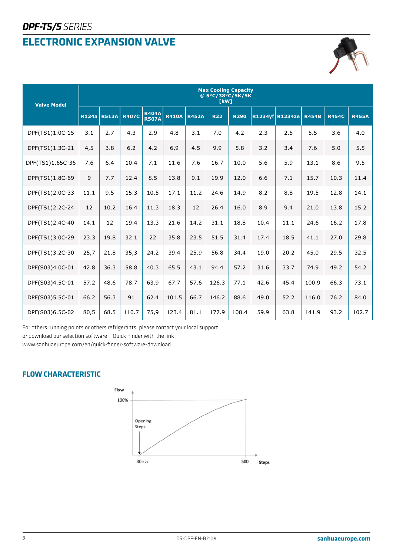# **ELECTRONIC EXPANSION VALVE**



| <b>Valve Model</b> | <b>Max Cooling Capacity</b><br>@ 5°C/38°C/5K/5K<br>[kW] |              |              |                              |              |              |            |             |      |                 |              |              |              |
|--------------------|---------------------------------------------------------|--------------|--------------|------------------------------|--------------|--------------|------------|-------------|------|-----------------|--------------|--------------|--------------|
|                    | <b>R134a</b>                                            | <b>R513A</b> | <b>R407C</b> | <b>R404A</b><br><b>R507A</b> | <b>R410A</b> | <b>R452A</b> | <b>R32</b> | <b>R290</b> |      | R1234yf R1234ze | <b>R454B</b> | <b>R454C</b> | <b>R455A</b> |
| DPF(TS1)1.0C-15    | 3.1                                                     | 2.7          | 4.3          | 2.9                          | 4.8          | 3.1          | 7.0        | 4.2         | 2.3  | 2.5             | 5.5          | 3.6          | 4.0          |
| DPF(TS1)1.3C-21    | 4,5                                                     | 3.8          | 6.2          | 4.2                          | 6,9          | 4.5          | 9.9        | 5.8         | 3.2  | 3.4             | 7.6          | 5.0          | 5.5          |
| DPF(TS1)1.65C-36   | 7.6                                                     | 6.4          | 10.4         | 7.1                          | 11.6         | 7.6          | 16.7       | 10.0        | 5.6  | 5.9             | 13.1         | 8.6          | 9.5          |
| DPF(TS1)1.8C-69    | 9                                                       | 7.7          | 12.4         | 8.5                          | 13.8         | 9.1          | 19.9       | 12.0        | 6.6  | 7.1             | 15.7         | 10.3         | 11.4         |
| DPF(TS1)2.0C-33    | 11.1                                                    | 9.5          | 15.3         | 10.5                         | 17.1         | 11.2         | 24.6       | 14.9        | 8.2  | 8.8             | 19.5         | 12.8         | 14.1         |
| DPF(TS1)2.2C-24    | 12                                                      | 10.2         | 16.4         | 11.3                         | 18.3         | 12           | 26.4       | 16.0        | 8.9  | 9.4             | 21.0         | 13.8         | 15.2         |
| DPF(TS1)2.4C-40    | 14.1                                                    | 12           | 19.4         | 13.3                         | 21.6         | 14.2         | 31.1       | 18.8        | 10.4 | 11.1            | 24.6         | 16.2         | 17.8         |
| DPF(TS1)3.0C-29    | 23.3                                                    | 19.8         | 32.1         | 22                           | 35.8         | 23.5         | 51.5       | 31.4        | 17.4 | 18.5            | 41.1         | 27.0         | 29.8         |
| DPF(TS1)3.2C-30    | 25,7                                                    | 21.8         | 35,3         | 24.2                         | 39.4         | 25.9         | 56.8       | 34.4        | 19.0 | 20.2            | 45.0         | 29.5         | 32.5         |
| DPF(S03)4.0C-01    | 42.8                                                    | 36.3         | 58.8         | 40.3                         | 65.5         | 43.1         | 94.4       | 57.2        | 31.6 | 33.7            | 74.9         | 49.2         | 54.2         |
| DPF(S03)4.5C-01    | 57.2                                                    | 48.6         | 78.7         | 63.9                         | 67.7         | 57.6         | 126.3      | 77.1        | 42.6 | 45.4            | 100.9        | 66.3         | 73.1         |
| DPF(S03)5.5C-01    | 66.2                                                    | 56.3         | 91           | 62.4                         | 101.5        | 66.7         | 146.2      | 88.6        | 49.0 | 52.2            | 116.0        | 76.2         | 84.0         |
| DPF(S03)6.5C-02    | 80,5                                                    | 68.5         | 110.7        | 75,9                         | 123.4        | 81.1         | 177.9      | 108.4       | 59.9 | 63.8            | 141.9        | 93.2         | 102.7        |

For others running points or others refrigerants, please contact your local support

or download our selection software – Quick Finder with the link :

www.sanhuaeurope.com/en/quick-finder-software-download

### **FLOW CHARACTERISTIC**